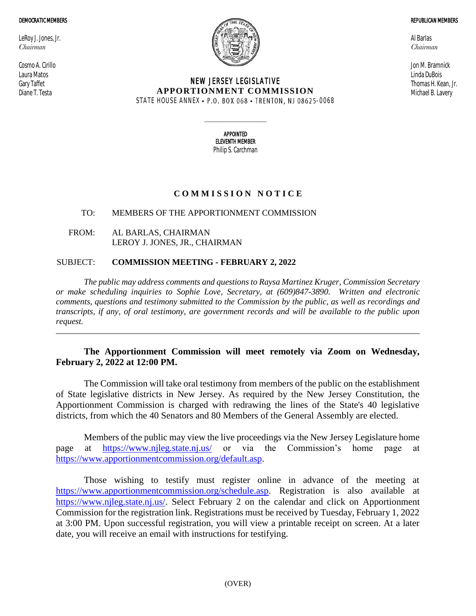#### DEMOCRATIC MEMBERS

LeRoy J. Jones, Jr. *Chairman*

Cosmo A. Cirillo Laura Matos Gary Taffet Diane T. Testa



## NEW JERSEY LEGISLATIVE **APPORTIONMENT COMMISSION** STATE HOUSE ANNEX • P.O. BOX 068 • TRENTON, NJ 08625-0068

Al Barlas *Chairman*

Jon M. Bramnick Linda DuBois Thomas H. Kean, Jr. Michael B. Lavery

REPUBLICAN MEMBERS

APPOINTED ELEVENTH MEMBER Philip S. Carchman

 $\_$ 

# **C O M M I S S I O N N O T I C E**

## TO: MEMBERS OF THE APPORTIONMENT COMMISSION

FROM: AL BARLAS, CHAIRMAN LEROY J. JONES, JR., CHAIRMAN

## SUBJECT: **COMMISSION MEETING - FEBRUARY 2, 2022**

*The public may address comments and questions to Raysa Martinez Kruger, Commission Secretary or make scheduling inquiries to Sophie Love, Secretary, at (609)847-3890. Written and electronic comments, questions and testimony submitted to the Commission by the public, as well as recordings and transcripts, if any, of oral testimony, are government records and will be available to the public upon request.*

# **The Apportionment Commission will meet remotely via Zoom on Wednesday, February 2, 2022 at 12:00 PM.**

The Commission will take oral testimony from members of the public on the establishment of State legislative districts in New Jersey. As required by the New Jersey Constitution, the Apportionment Commission is charged with redrawing the lines of the State's 40 legislative districts, from which the 40 Senators and 80 Members of the General Assembly are elected.

Members of the public may view the live proceedings via the New Jersey Legislature home page at <https://www.njleg.state.nj.us/> or via the Commission's home page at [https://www.apportionmentcommission.org/default.asp.](https://www.apportionmentcommission.org/default.asp)

Those wishing to testify must register online in advance of the meeting at [https://www.apportionmentcommission.org/schedule.asp.](https://www.apportionmentcommission.org/schedule.asp) Registration is also available at [https://www.njleg.state.nj.us/.](https://www.njleg.state.nj.us/) Select February 2 on the calendar and click on Apportionment Commission for the registration link. Registrations must be received by Tuesday, February 1, 2022 at 3:00 PM. Upon successful registration, you will view a printable receipt on screen. At a later date, you will receive an email with instructions for testifying.